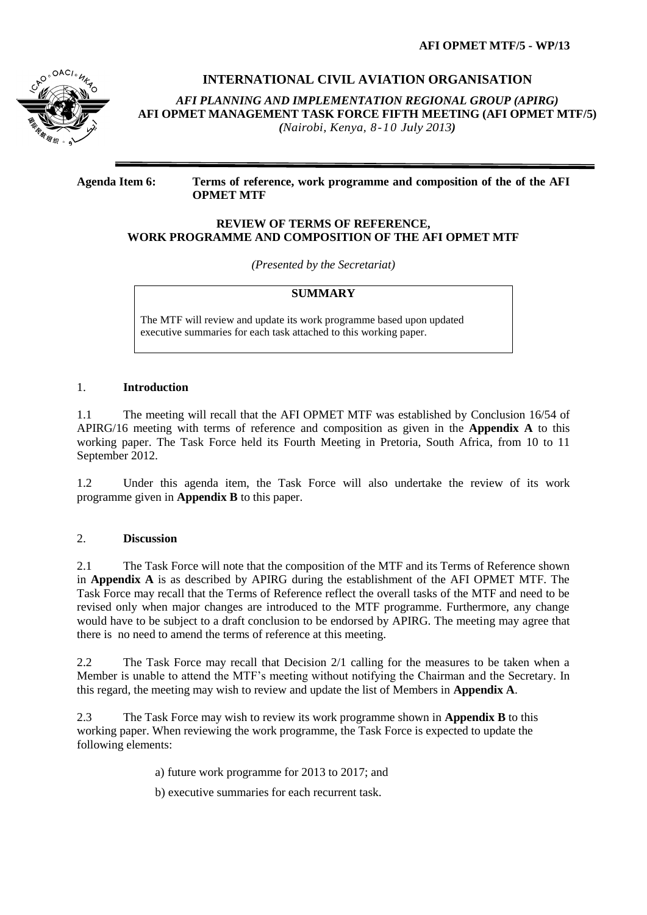

# **INTERNATIONAL CIVIL AVIATION ORGANISATION**

*AFI PLANNING AND IMPLEMENTATION REGIONAL GROUP (APIRG)* **AFI OPMET MANAGEMENT TASK FORCE FIFTH MEETING (AFI OPMET MTF/5)**  *(Nairobi, Kenya, 8-10 July 2013)*

#### **Agenda Item 6: Terms of reference, work programme and composition of the of the AFI OPMET MTF**

#### **REVIEW OF TERMS OF REFERENCE, WORK PROGRAMME AND COMPOSITION OF THE AFI OPMET MTF**

*(Presented by the Secretariat)*

## **SUMMARY**

The MTF will review and update its work programme based upon updated executive summaries for each task attached to this working paper.

#### 1. **Introduction**

1.1 The meeting will recall that the AFI OPMET MTF was established by Conclusion 16/54 of APIRG/16 meeting with terms of reference and composition as given in the **Appendix A** to this working paper. The Task Force held its Fourth Meeting in Pretoria, South Africa, from 10 to 11 September 2012.

1.2 Under this agenda item, the Task Force will also undertake the review of its work programme given in **Appendix B** to this paper.

#### 2. **Discussion**

2.1 The Task Force will note that the composition of the MTF and its Terms of Reference shown in **Appendix A** is as described by APIRG during the establishment of the AFI OPMET MTF. The Task Force may recall that the Terms of Reference reflect the overall tasks of the MTF and need to be revised only when major changes are introduced to the MTF programme. Furthermore, any change would have to be subject to a draft conclusion to be endorsed by APIRG. The meeting may agree that there is no need to amend the terms of reference at this meeting.

2.2 The Task Force may recall that Decision 2/1 calling for the measures to be taken when a Member is unable to attend the MTF's meeting without notifying the Chairman and the Secretary. In this regard, the meeting may wish to review and update the list of Members in **Appendix A**.

2.3 The Task Force may wish to review its work programme shown in **Appendix B** to this working paper. When reviewing the work programme, the Task Force is expected to update the following elements:

a) future work programme for 2013 to 2017; and

b) executive summaries for each recurrent task.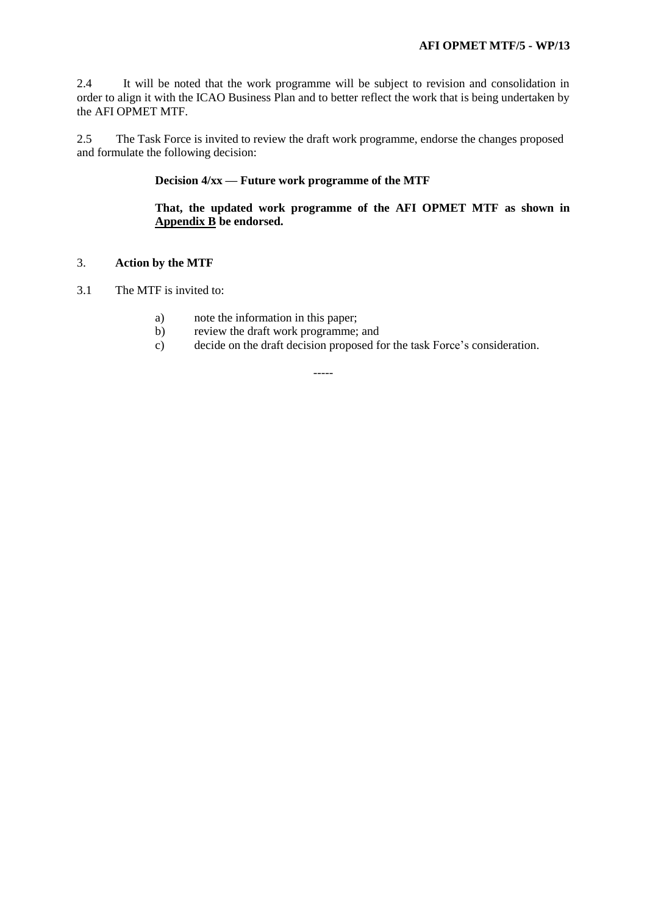2.4 It will be noted that the work programme will be subject to revision and consolidation in order to align it with the ICAO Business Plan and to better reflect the work that is being undertaken by the AFI OPMET MTF.

2.5 The Task Force is invited to review the draft work programme, endorse the changes proposed and formulate the following decision:

#### **Decision 4/xx — Future work programme of the MTF**

# **That, the updated work programme of the AFI OPMET MTF as shown in Appendix B be endorsed.**

#### 3. **Action by the MTF**

- 3.1 The MTF is invited to:
	- a) note the information in this paper;
	- b) review the draft work programme; and
	- c) decide on the draft decision proposed for the task Force's consideration.

-----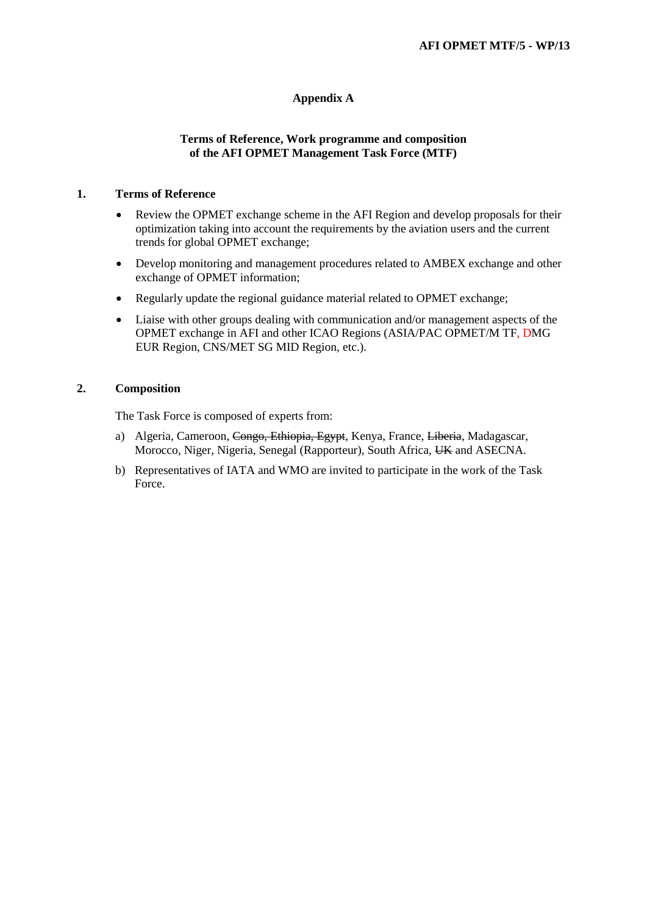# **Appendix A**

#### **Terms of Reference, Work programme and composition of the AFI OPMET Management Task Force (MTF)**

#### **1. Terms of Reference**

- Review the OPMET exchange scheme in the AFI Region and develop proposals for their optimization taking into account the requirements by the aviation users and the current trends for global OPMET exchange;
- Develop monitoring and management procedures related to AMBEX exchange and other exchange of OPMET information;
- Regularly update the regional guidance material related to OPMET exchange;
- Liaise with other groups dealing with communication and/or management aspects of the OPMET exchange in AFI and other ICAO Regions (ASIA/PAC OPMET/M TF, DMG EUR Region, CNS/MET SG MID Region, etc.).

# **2. Composition**

The Task Force is composed of experts from:

- a) Algeria, Cameroon, Congo, Ethiopia, Egypt, Kenya, France, Liberia, Madagascar, Morocco, Niger, Nigeria, Senegal (Rapporteur), South Africa, UK and ASECNA.
- b) Representatives of IATA and WMO are invited to participate in the work of the Task Force.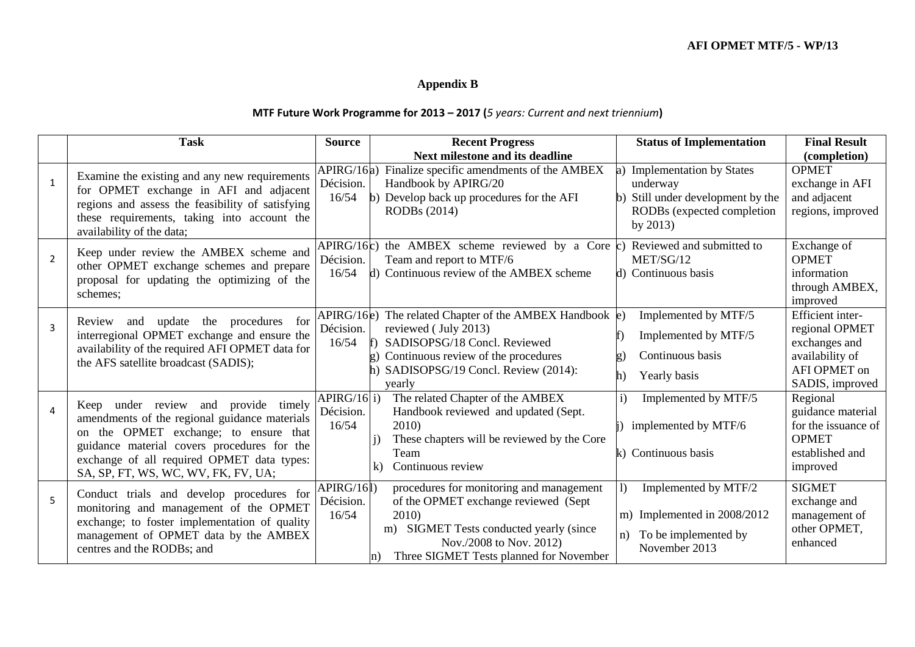# **Appendix B**

# **MTF Future Work Programme for 2013 – 2017 (***5 years: Current and next triennium***)**

|                | <b>Task</b>                                                                                                                                                                                                                                                        | <b>Source</b>                     | <b>Recent Progress</b>                                                                                                                                                                                              | <b>Status of Implementation</b>                                                                                          | <b>Final Result</b>                                                                                              |
|----------------|--------------------------------------------------------------------------------------------------------------------------------------------------------------------------------------------------------------------------------------------------------------------|-----------------------------------|---------------------------------------------------------------------------------------------------------------------------------------------------------------------------------------------------------------------|--------------------------------------------------------------------------------------------------------------------------|------------------------------------------------------------------------------------------------------------------|
|                |                                                                                                                                                                                                                                                                    |                                   | Next milestone and its deadline                                                                                                                                                                                     |                                                                                                                          | (completion)                                                                                                     |
| $\mathbf{1}$   | Examine the existing and any new requirements<br>for OPMET exchange in AFI and adjacent<br>regions and assess the feasibility of satisfying<br>these requirements, taking into account the<br>availability of the data;                                            | APIRG/16a)<br>Décision.<br>16/54  | Finalize specific amendments of the AMBEX<br>Handbook by APIRG/20<br>Develop back up procedures for the AFI<br>RODBs (2014)                                                                                         | <b>Implementation by States</b><br>underway<br>Still under development by the<br>RODBs (expected completion<br>by $2013$ | <b>OPMET</b><br>exchange in AFI<br>and adjacent<br>regions, improved                                             |
| $\overline{2}$ | Keep under review the AMBEX scheme and<br>other OPMET exchange schemes and prepare<br>proposal for updating the optimizing of the<br>schemes;                                                                                                                      | APIRG/16c)<br>Décision.<br>16/54  | the AMBEX scheme reviewed by a Core $(c)$<br>Team and report to MTF/6<br>d) Continuous review of the AMBEX scheme                                                                                                   | Reviewed and submitted to<br>MET/SG/12<br>d) Continuous basis                                                            | Exchange of<br><b>OPMET</b><br>information<br>through AMBEX,<br>improved                                         |
| $\overline{3}$ | update<br>the procedures<br>for<br>and<br>Review<br>interregional OPMET exchange and ensure the<br>availability of the required AFI OPMET data for<br>the AFS satellite broadcast (SADIS);                                                                         | APIRG/16e)<br>Décision.<br>16/54  | The related Chapter of the AMBEX Handbook $\ket{\mathrm{e}}$<br>reviewed (July 2013)<br>SADISOPSG/18 Concl. Reviewed<br>Continuous review of the procedures<br>SADISOPSG/19 Concl. Review (2014):<br>yearly         | Implemented by MTF/5<br>Implemented by MTF/5<br>Continuous basis<br>Yearly basis<br>h)                                   | <b>Efficient</b> inter-<br>regional OPMET<br>exchanges and<br>availability of<br>AFI OPMET on<br>SADIS, improved |
| $\overline{4}$ | Keep under review and provide timely<br>amendments of the regional guidance materials<br>on the OPMET exchange; to ensure that<br>guidance material covers procedures for the<br>exchange of all required OPMET data types:<br>SA, SP, FT, WS, WC, WV, FK, FV, UA; | APIRG/16 i)<br>Décision.<br>16/54 | The related Chapter of the AMBEX<br>Handbook reviewed and updated (Sept.<br>2010)<br>These chapters will be reviewed by the Core<br>Team<br>Continuous review<br>$\bf k$                                            | Implemented by MTF/5<br>$\mathbf{i}$<br>implemented by MTF/6<br>k) Continuous basis                                      | Regional<br>guidance material<br>for the issuance of<br><b>OPMET</b><br>established and<br>improved              |
| 5              | Conduct trials and develop procedures for<br>monitoring and management of the OPMET<br>exchange; to foster implementation of quality<br>management of OPMET data by the AMBEX<br>centres and the RODBs; and                                                        | APIRG/16l)<br>Décision.<br>16/54  | procedures for monitoring and management<br>of the OPMET exchange reviewed (Sept<br>2010)<br>m) SIGMET Tests conducted yearly (since<br>Nov./2008 to Nov. 2012)<br>Three SIGMET Tests planned for November<br>$\ln$ | Implemented by MTF/2<br>$\left( \right)$<br>m) Implemented in 2008/2012<br>n) To be implemented by<br>November 2013      | <b>SIGMET</b><br>exchange and<br>management of<br>other OPMET,<br>enhanced                                       |